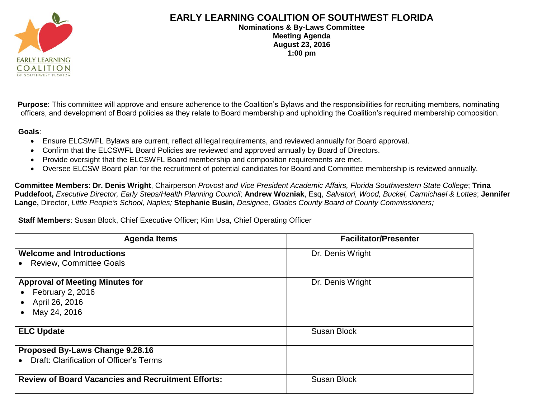

## **EARLY LEARNING COALITION OF SOUTHWEST FLORIDA**

**Nominations & By-Laws Committee Meeting Agenda August 23, 2016 1:00 pm**

**Purpose**: This committee will approve and ensure adherence to the Coalition's Bylaws and the responsibilities for recruiting members, nominating officers, and development of Board policies as they relate to Board membership and upholding the Coalition's required membership composition.

**Goals**:

- Ensure ELCSWFL Bylaws are current, reflect all legal requirements, and reviewed annually for Board approval.
- Confirm that the ELCSWFL Board Policies are reviewed and approved annually by Board of Directors.
- Provide oversight that the ELCSWFL Board membership and composition requirements are met.
- Oversee ELCSW Board plan for the recruitment of potential candidates for Board and Committee membership is reviewed annually.

**Committee Members**: **Dr. Denis Wright**, Chairperson *Provost and Vice President Academic Affairs, Florida Southwestern State College*; **Trina Puddefoot,** *Executive Director, Early Steps/Health Planning Council*; **Andrew Wozniak**, Esq, *Salvatori, Wood, Buckel, Carmichael & Lottes*; **Jennifer Lange,** Director, *Little People's School, Naples;* **Stephanie Busin,** *Designee, Glades County Board of County Commissioners;* 

## **Staff Members**: Susan Block, Chief Executive Officer; Kim Usa, Chief Operating Officer

| <b>Agenda Items</b>                                       | <b>Facilitator/Presenter</b> |
|-----------------------------------------------------------|------------------------------|
| <b>Welcome and Introductions</b>                          | Dr. Denis Wright             |
| <b>Review, Committee Goals</b>                            |                              |
| <b>Approval of Meeting Minutes for</b>                    | Dr. Denis Wright             |
| <b>February 2, 2016</b>                                   |                              |
| April 26, 2016<br>$\bullet$                               |                              |
| May 24, 2016                                              |                              |
| <b>ELC Update</b>                                         | <b>Susan Block</b>           |
| Proposed By-Laws Change 9.28.16                           |                              |
| Draft: Clarification of Officer's Terms                   |                              |
| <b>Review of Board Vacancies and Recruitment Efforts:</b> | <b>Susan Block</b>           |